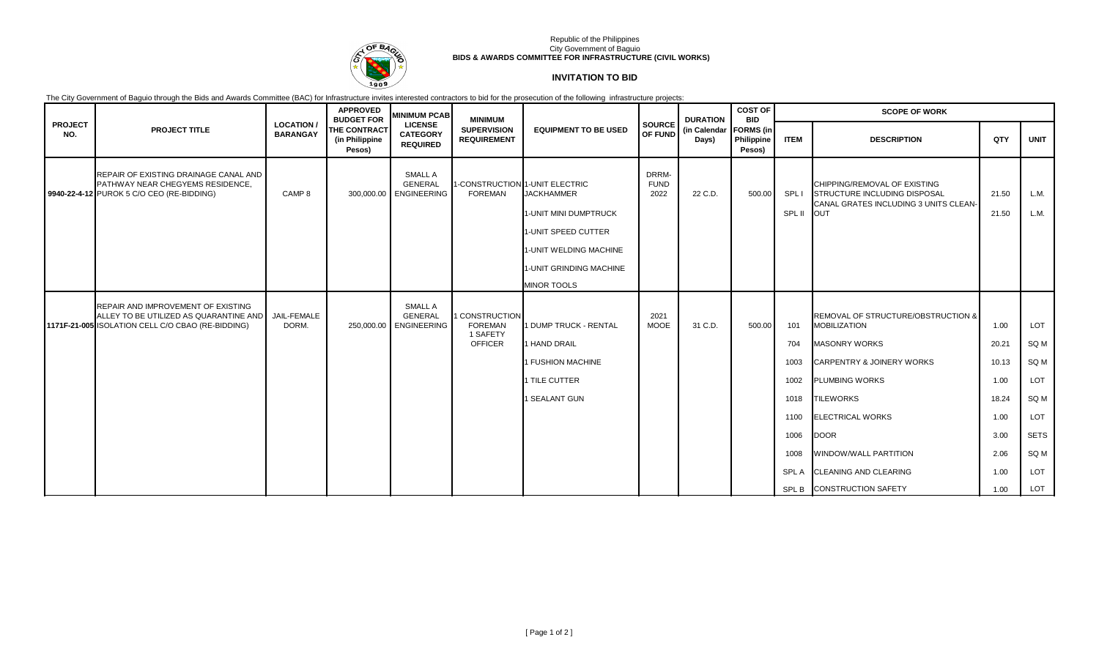

## Republic of the Philippines City Government of Baguio **BIDS & AWARDS COMMITTEE FOR INFRASTRUCTURE (CIVIL WORKS)**

# **INVITATION TO BID**

The City Government of Baguio through the Bids and Awards Committee (BAC) for Infrastructure invites interested contractors to bid for the prosecution of the following infrastructure projects:

|                       |                                                                                                                                   |                                    | <b>APPROVED</b><br><b>BUDGET FOR</b>            | <b>MINIMUM PCAB</b>                                        | <b>MINIMUM</b>                                                 |                                                                                                                                                                                |                              | <b>DURATION</b><br>(in Calendar<br>Days) | <b>COST OF</b><br><b>BID</b>             | <b>SCOPE OF WORK</b>                                                      |                                                                                                                                                                                                                                                                                                        |                                                                                 |                                                                                |
|-----------------------|-----------------------------------------------------------------------------------------------------------------------------------|------------------------------------|-------------------------------------------------|------------------------------------------------------------|----------------------------------------------------------------|--------------------------------------------------------------------------------------------------------------------------------------------------------------------------------|------------------------------|------------------------------------------|------------------------------------------|---------------------------------------------------------------------------|--------------------------------------------------------------------------------------------------------------------------------------------------------------------------------------------------------------------------------------------------------------------------------------------------------|---------------------------------------------------------------------------------|--------------------------------------------------------------------------------|
| <b>PROJECT</b><br>NO. | <b>PROJECT TITLE</b>                                                                                                              | <b>LOCATION</b><br><b>BARANGAY</b> | <b>THE CONTRACT</b><br>(in Philippine<br>Pesos) | <b>LICENSE</b><br><b>CATEGORY</b><br><b>REQUIRED</b>       | <b>SUPERVISION</b><br><b>REQUIREMENT</b>                       | <b>EQUIPMENT TO BE USED</b>                                                                                                                                                    | <b>SOURCE</b><br>OF FUND     |                                          | <b>FORMS</b> (in<br>Philippine<br>Pesos) | <b>ITEM</b>                                                               | <b>DESCRIPTION</b>                                                                                                                                                                                                                                                                                     | QTY                                                                             | <b>UNIT</b>                                                                    |
|                       | REPAIR OF EXISTING DRAINAGE CANAL AND<br><b>PATHWAY NEAR CHEGYEMS RESIDENCE.</b><br>9940-22-4-12 PUROK 5 C/O CEO (RE-BIDDING)     | CAMP <sub>8</sub>                  |                                                 | SMALL A<br><b>GENERAL</b><br>300,000.00 ENGINEERING        | <b>FOREMAN</b>                                                 | 1-CONSTRUCTION 1-UNIT ELECTRIC<br><b>JACKHAMMER</b><br>1-UNIT MINI DUMPTRUCK<br>1-UNIT SPEED CUTTER<br>1-UNIT WELDING MACHINE<br>1-UNIT GRINDING MACHINE<br><b>MINOR TOOLS</b> | DRRM-<br><b>FUND</b><br>2022 | 22 C.D.                                  | 500.00                                   | SPL I<br>SPL II                                                           | CHIPPING/REMOVAL OF EXISTING<br>STRUCTURE INCLUDING DISPOSAL<br>CANAL GRATES INCLUDING 3 UNITS CLEAN-<br><b>OUT</b>                                                                                                                                                                                    | 21.50<br>21.50                                                                  | L.M.<br>L.M.                                                                   |
|                       | REPAIR AND IMPROVEMENT OF EXISTING<br>ALLEY TO BE UTILIZED AS QUARANTINE AND<br>1171F-21-005 ISOLATION CELL C/O CBAO (RE-BIDDING) | JAIL-FEMALE<br>DORM.               |                                                 | <b>SMALL A</b><br><b>GENERAL</b><br>250,000.00 ENGINEERING | 1 CONSTRUCTION<br><b>FOREMAN</b><br>1 SAFETY<br><b>OFFICER</b> | 1 DUMP TRUCK - RENTAL<br>1 HAND DRAIL<br>1 FUSHION MACHINE<br>1 TILE CUTTER<br>1 SEALANT GUN                                                                                   | 2021<br><b>MOOE</b>          | 31 C.D.                                  | 500.00                                   | 101<br>704<br>1003<br>1002<br>1018<br>1100<br>1006<br>1008<br><b>SPLA</b> | REMOVAL OF STRUCTURE/OBSTRUCTION &<br><b>MOBILIZATION</b><br><b>MASONRY WORKS</b><br><b>CARPENTRY &amp; JOINERY WORKS</b><br><b>PLUMBING WORKS</b><br><b>TILEWORKS</b><br><b>ELECTRICAL WORKS</b><br><b>DOOR</b><br>WINDOW/WALL PARTITION<br><b>CLEANING AND CLEARING</b><br>SPL B CONSTRUCTION SAFETY | 1.00<br>20.21<br>10.13<br>1.00<br>18.24<br>1.00<br>3.00<br>2.06<br>1.00<br>1.00 | LOT<br>SQ M<br>SQ M<br>LOT<br>SQ M<br>LOT<br><b>SETS</b><br>SQ M<br>LOT<br>LOT |